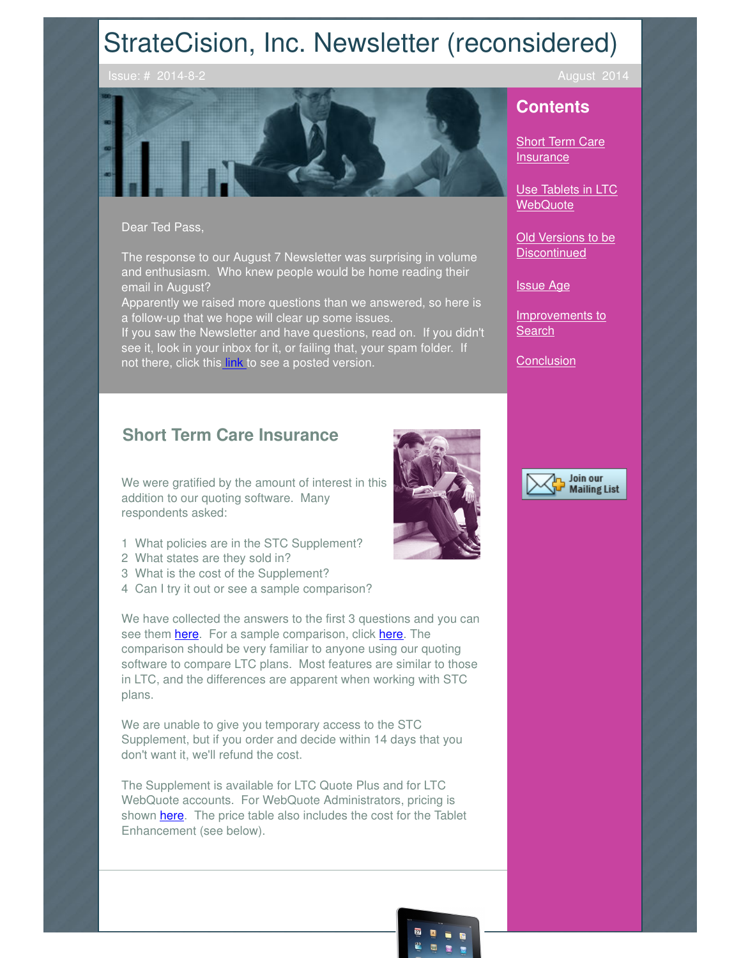# StrateCision, Inc. Newsletter (reconsidered)



#### Dear Ted Pass,

The response to our August 7 Newsletter was surprising in volume and enthusiasm. Who knew people would be home reading their email in August?

Apparently we raised more questions than we answered, so here is a follow-up that we hope will clear up some issues.

If you saw the Newsletter and have questions, read on. If you didn't see it, look in your inbox for it, or failing that, your spam folder. If not there, click this **link** to see a posted version.

# **Short Term Care Insurance**

We were gratified by the amount of interest in this addition to our quoting software. Many respondents asked:

- 1 What policies are in the STC Supplement?
- 2 What states are they sold in?
- 3 What is the cost of the Supplement?
- 4 Can I try it out or see a sample comparison?

We have collected the answers to the first 3 questions and you can see them **here**. For a sample comparison, click here. The comparison should be very familiar to anyone using our quoting software to compare LTC plans. Most features are similar to those in LTC, and the differences are apparent when working with STC plans.

We are unable to give you temporary access to the STC Supplement, but if you order and decide within 14 days that you don't want it, we'll refund the cost.

The Supplement is available for LTC Quote Plus and for LTC WebQuote accounts. For WebQuote Administrators, pricing is shown **here**. The price table also includes the cost for the Tablet Enhancement (see below).





## **Contents**

**Short Term Care Insurance** 

Use Tablets in LTC **WebQuote** 

Old Versions to be **Discontinued** 

Issue Age

Improvements to **Search** 

**Conclusion** 

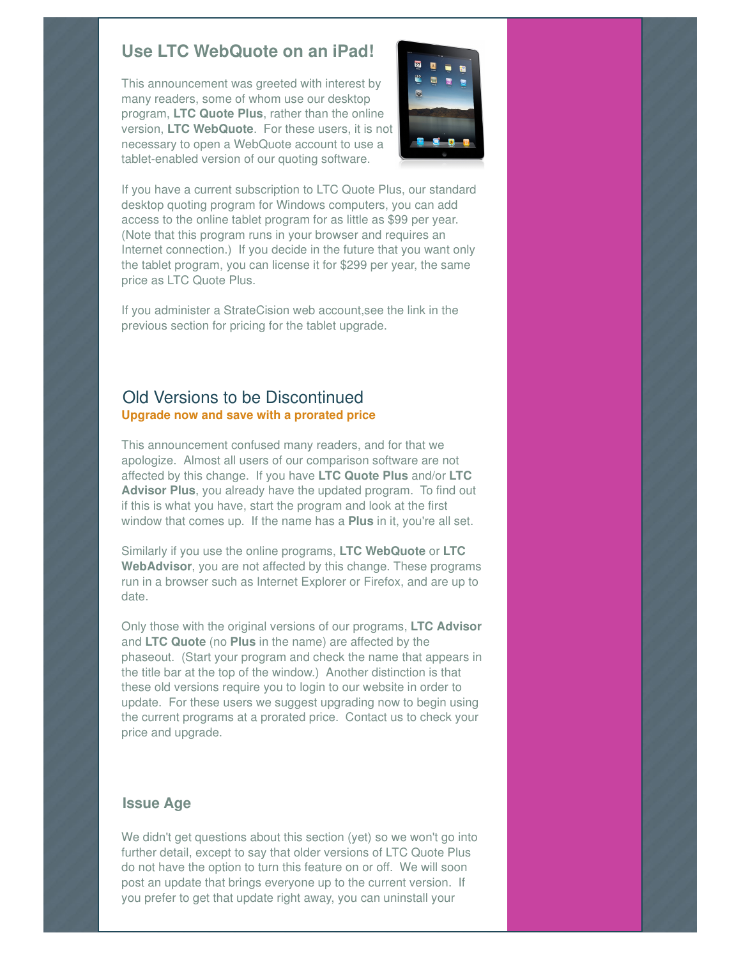# **Use LTC WebQuote on an iPad!**

This announcement was greeted with interest by many readers, some of whom use our desktop program, **LTC Quote Plus**, rather than the online version, **LTC WebQuote**. For these users, it is not necessary to open a WebQuote account to use a tablet-enabled version of our quoting software.



If you have a current subscription to LTC Quote Plus, our standard desktop quoting program for Windows computers, you can add access to the online tablet program for as little as \$99 per year. (Note that this program runs in your browser and requires an Internet connection.) If you decide in the future that you want only the tablet program, you can license it for \$299 per year, the same price as LTC Quote Plus.

If you administer a StrateCision web account,see the link in the previous section for pricing for the tablet upgrade.

#### Old Versions to be Discontinued **Upgrade now and save with a prorated price**

This announcement confused many readers, and for that we apologize. Almost all users of our comparison software are not affected by this change. If you have **LTC Quote Plus** and/or **LTC Advisor Plus**, you already have the updated program. To find out if this is what you have, start the program and look at the first window that comes up. If the name has a **Plus** in it, you're all set.

Similarly if you use the online programs, **LTC WebQuote** or **LTC WebAdvisor**, you are not affected by this change. These programs run in a browser such as Internet Explorer or Firefox, and are up to date.

Only those with the original versions of our programs, **LTC Advisor** and **LTC Quote** (no **Plus** in the name) are affected by the phaseout. (Start your program and check the name that appears in the title bar at the top of the window.) Another distinction is that these old versions require you to login to our website in order to update. For these users we suggest upgrading now to begin using the current programs at a prorated price. Contact us to check your price and upgrade.

#### **Issue Age**

We didn't get questions about this section (yet) so we won't go into further detail, except to say that older versions of LTC Quote Plus do not have the option to turn this feature on or off. We will soon post an update that brings everyone up to the current version. If you prefer to get that update right away, you can uninstall your